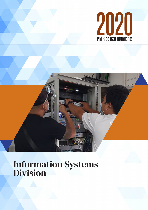



d

## Information Systems Division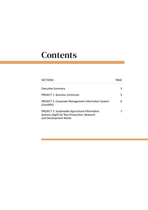# **Contents**

| <b>SECTIONS</b>                                                                                                                 | P∆GF |
|---------------------------------------------------------------------------------------------------------------------------------|------|
| <b>Executive Summary</b>                                                                                                        |      |
| <b>PROJECT 1: Business Continuity</b>                                                                                           |      |
| <b>PROJECT 2: Corporate Management Information System</b><br>(CoreMIS)                                                          |      |
| <b>PROJECT 3: Sustainable Agricultural Information</b><br>Systems (AgIS) for Rice Production, Research<br>and Development Works |      |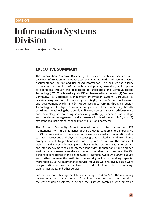#### **DIVISION**

## Information Systems Division

Division head: **Luis Alejandre I. Tamani**

#### **EXECUTIVE SUMMARY**

The Information Systems Division (ISD) provides technical services and develops information and database systems, data network, and system process documentation for rice and rice-based information. This ensures the quality of delivery and conduct of research, development, extension, and support to operations through the application of Information and Communications Technology (ICT). To achieve its goals, ISD implemented four projects: (1) Business Continuity, (2) Corporate Management Information System (CoreMIS); (3) Sustainable Agricultural Information Systems (AgIS) for Rice Production, Research and Development Works; and (4) Modernized Rice Farming through Precision Technology and Intelligence Information Systems. These projects significantly contributed to achieving the strategic PhilRice outcomes: (1) advanced rice science and technology as continuing sources of growth; (2) enhanced partnerships and knowledge management for rice research for development (R4D); and (3) strengthened institutional capability of PhilRice (and partners).

The Business Continuity Project covered network infrastructure and ICT maintenance. With the emergence of the COVID-19 pandemic, the importance of ICT became evident. There was more use for virtual communications due to travel restrictions and physical distancing that resulted in work-from-home arrangements. A bigger bandwidth was required to improve the quality of webinars and videoconferencing, which became the new normal for inter-branch and inter-agency meetings. The internet bandwidths for Batac and Isabela branch stations were increased to make it at par with the other branch stations. The ISD personnel participated in the online CERT-PH National Cyber Drill 2020 to gauge and further improve the Institute cybersecurity incident's handling capacity. More than 1,300 ICT maintenance service requests were resolved. These were categorized into hardware and software, network, telephone, video conferencing, webinar activities, and other services.

For the Corporate Management Information System (CoreMIS), the continuing development and enhancement of its information systems contributed to the ease-of-doing-business. It helped the Institute complied with emerging

**3**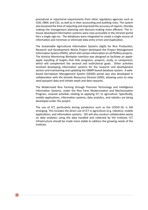procedural or reportorial requirements from other regulatory agencies such as COA, DBM, and CSC, as well as in their accounting and auditing rules. The system also lessened the time of reporting and improved the accuracy of reports, thereby making the management planning and decision-making more efficient. The inhouse-developed information systems were now accessible in the intranet portal thru a single sign-on. The databases were integrated to create a single source of information and minimize or eliminate data entry errors and duplication.

The Sustainable Agricultural Information Systems (AgIS) for Rice Production, Research and Development Works Project developed the Project Management Information System (PMIS), which will contain information on all PhilRice projects. The Activity Monitoring Workplan interface was designed to facilitate an appleapple inputting of targets that links programs, projects, study, or component, which will complement the sectoral and institutional goals. Other activities involved developing information systems for the research and development sectors and maintaining and updating the DBMP-based database system. A webbased Germplasm Management System (GEMS) portal was also developed in collaboration with the Genetic Resources Division (GRD), allowing users to view seed passport data and initiate seeds and data requests.

The Modernized Rice Farming through Precision Technology and Intelligence Information Systems, under the Rice Farm Modernization and Mechanization Program, covered activities relating to applying ICT to agriculture. Specifically, mobile applications, information systems, data analytics, and robotics are being developed under the project.

The use of ICT, particularly during pandemics such as the COVID-19, is still emerging. This includes the direct use of ICT in agriculture (e.g. robotics), mobile applications, and information systems. ISD will also conduct collaborative works on data analytics using the data handled and collected by the Institute. ICT infrastructure should be made more stable to address the growing needs of the Institute.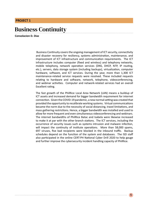#### **PROJECT 1**

## Business Continuity

**Consolacion D. Diaz**

 Business Continuity covers the ongoing management of ICT security, connectivity and disaster recovery for resiliency, systems administration, maintenance, and improvement of ICT infrastructure and communication requirements. The ICT infrastructure includes computer (fixed and wireless) and telephony networks, mobile telephony, network operation services (DNS, DHCP, NTP, IP routing, etc.), servers, data storage system (including backups), virtualization, computer hardware, software, and ICT services. During the year, more than 1,300 ICT maintenance-related service requests were resolved. These included requests relating to hardware and software, network, telephone, videoconferencing, and webinar activities. Computer and network-related services had an overall Excellent rating.

The fast growth of the PhilRice Local Area Network (LAN) means a buildup of ICT assets and increased demand for bigger bandwidth requirement for internet connection. Given the COVID-19 pandemic, a new normal setting was created that provided the opportunity to recalibrate working systems. Virtual communications became the norm due to the necessity of social distancing, travel limitations, and mass gathering restrictions. Hence, a bigger bandwidth was installed and used to allow for more frequent and even simultaneous videoconferencing and webinars. The internet bandwidths of PhilRice Batac and Isabela were likewise increased to make it at par with the other branch stations. The ICT services, including the occurrence of security issues such as systems intrusion and malware infection, will impact the continuity of institute operations. More than 58,000 spams, 697 viruses, five bad recipients were blocked in the inbound traffic. Backup schedules depend on the function of the system and databases. The ISD staff also participated in the online CERT-PH National Cyber Drill 2020 to help gauge and further improve the cybersecurity incident handling capacity of PhilRice.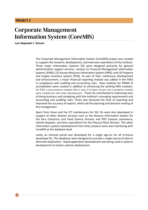#### **PROJECT 2**

**6**

## Corporate Management Information System (CoreMIS)

**Luis Alejandre I. Tamani** 

The Corporate Management Information System (CoreMIS) project was created to support the research, development, and extension operations of the Institute. Three major Information Systems (IS) were designed primarily for general administrative support services, namely (1) Financial Management Information Systems (FMIS); (2) Human Resource Information System (HRIS); and (3) Property and Supply Inventory System (PSIS). As part of their continuous development and enhancement, a major financial reporting module was added in the FMIS in compliance with auditing and accounting rules. New modules for PRIME III accreditation were created in addition to enhancing the existing HRIS modules. For PSIS, a procurement module that is now in its beta version and a property module were created but still under development. These ISs contributed to improving ease of doing business and complying with the Institute's emerging requirements and accounting and auditing rules. These also lessened the time of reporting and improved the accuracy of reports, which aid the planning and decision-making of the management.

Apart from these and the ICT maintenance for ISD, ISs were also developed in support of other division services such as the Sensory Information System for the Rice Chemistry and Food Science Division and PPD Systems (assistance, vehicle dispatch, and farm operations) for the Physical Plant Division. The other information systems development from other projects were also interfacing with CoreMIS at the database level.

Lastly, an Intranet portal was developed for a single sign-on for all in-house developed ISs. The databases were designed to provide a single source of data to eliminate duplication. Rapid application development was being used in systems development to hasten systems deployment.